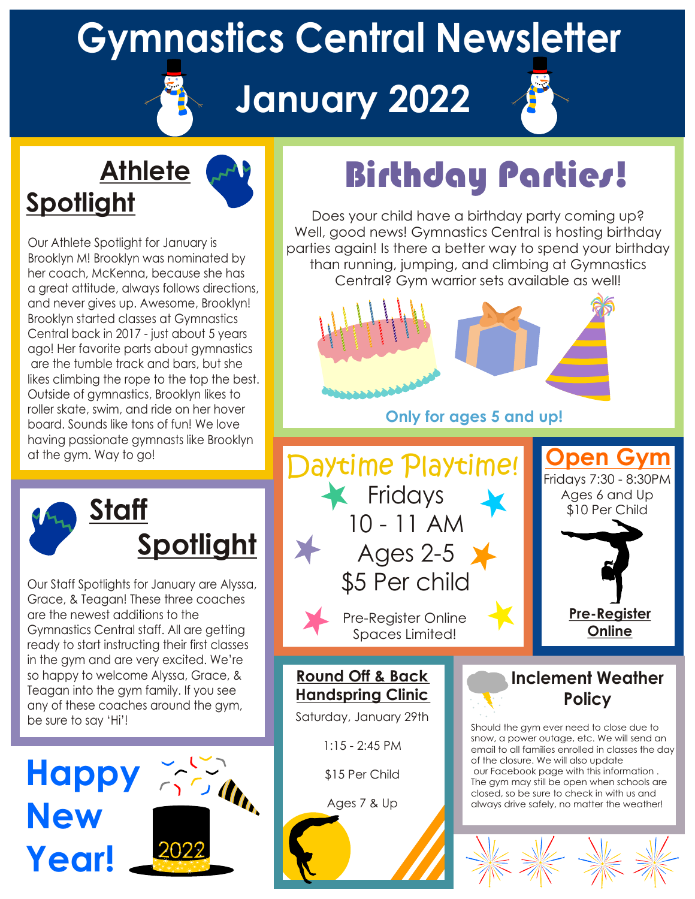### **Gymnastics Central Newsletter**

#### **January 2022**



#### **Athlete Spotlight**



Our Athlete Spotlight for January is Brooklyn M! Brooklyn was nominated by her coach, McKenna, because she has a great attitude, always follows directions, and never gives up. Awesome, Brooklyn! Brooklyn started classes at Gymnastics Central back in 2017 - just about 5 years ago! Her favorite parts about gymnastics are the tumble track and bars, but she likes climbing the rope to the top the best. Outside of gymnastics, Brooklyn likes to roller skate, swim, and ride on her hover board. Sounds like tons of fun! We love having passionate gymnasts like Brooklyn

 **Staff Spotlight**

Our Staff Spotlights for January are Alyssa, Grace, & Teagan! These three coaches are the newest additions to the Gymnastics Central staff. All are getting ready to start instructing their first classes in the gym and are very excited. We're so happy to welcome Alyssa, Grace, & Teagan into the gym family. If you see any of these coaches around the gym, be sure to say 'Hi'!



## Birthday Parties!

Does your child have a birthday party coming up? Well, good news! Gymnastics Central is hosting birthday parties again! Is there a better way to spend your birthday than running, jumping, and climbing at Gymnastics Central? Gym warrior sets available as well!



**Only for ages 5 and up!**



**Round Off & Back Handspring Clinic**

Saturday, January 29th

1:15 - 2:45 PM

\$15 Per Child

Ages 7 & Up

#### **Inclement Weather Policy**

Should the gym ever need to close due to snow, a power outage, etc. We will send an email to all families enrolled in classes the day of the closure. We will also update our Facebook page with this information . The gym may still be open when schools are closed, so be sure to check in with us and always drive safely, no matter the weather!